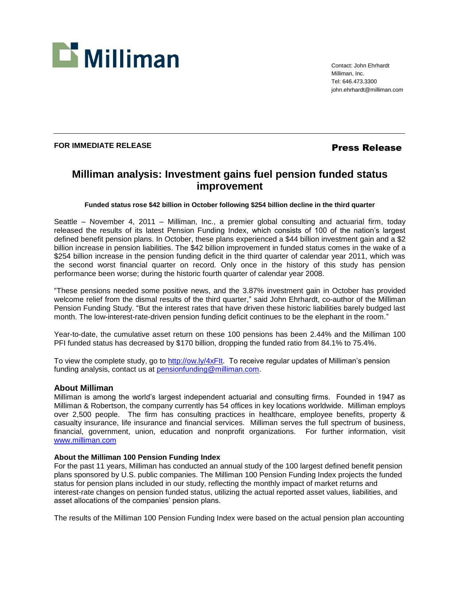

Contact: John Ehrhardt Milliman, Inc. Tel: 646.473.3300 john.ehrhardt@milliman.com

# **FOR IMMEDIATE RELEASE Press Release**

# **Milliman analysis: Investment gains fuel pension funded status improvement**

## **Funded status rose \$42 billion in October following \$254 billion decline in the third quarter**

Seattle – November 4, 2011 – Milliman, Inc., a premier global consulting and actuarial firm, today released the results of its latest Pension Funding Index, which consists of 100 of the nation's largest defined benefit pension plans. In October, these plans experienced a \$44 billion investment gain and a \$2 billion increase in pension liabilities. The \$42 billion improvement in funded status comes in the wake of a \$254 billion increase in the pension funding deficit in the third quarter of calendar year 2011, which was the second worst financial quarter on record. Only once in the history of this study has pension performance been worse; during the historic fourth quarter of calendar year 2008.

"These pensions needed some positive news, and the 3.87% investment gain in October has provided welcome relief from the dismal results of the third quarter," said John Ehrhardt, co-author of the Milliman Pension Funding Study. "But the interest rates that have driven these historic liabilities barely budged last month. The low-interest-rate-driven pension funding deficit continues to be the elephant in the room."

Year-to-date, the cumulative asset return on these 100 pensions has been 2.44% and the Milliman 100 PFI funded status has decreased by \$170 billion, dropping the funded ratio from 84.1% to 75.4%.

To view the complete study, go to [http://ow.ly/4xFIt.](http://ow.ly/4xFIt) To receive regular updates of Milliman's pension funding analysis, contact us at [pensionfunding@milliman.com.](mailto:pensionfunding@milliman.com)

#### **About Milliman**

Milliman is among the world's largest independent actuarial and consulting firms. Founded in 1947 as Milliman & Robertson, the company currently has 54 offices in key locations worldwide. Milliman employs over 2,500 people. The firm has consulting practices in healthcare, employee benefits, property & casualty insurance, life insurance and financial services. Milliman serves the full spectrum of business, financial, government, union, education and nonprofit organizations. For further information, visit [www.milliman.com](http://www.milliman.com/)

### **About the Milliman 100 Pension Funding Index**

For the past 11 years, Milliman has conducted an annual study of the 100 largest defined benefit pension plans sponsored by U.S. public companies. The Milliman 100 Pension Funding Index projects the funded status for pension plans included in our study, reflecting the monthly impact of market returns and interest-rate changes on pension funded status, utilizing the actual reported asset values, liabilities, and asset allocations of the companies' pension plans.

The results of the Milliman 100 Pension Funding Index were based on the actual pension plan accounting